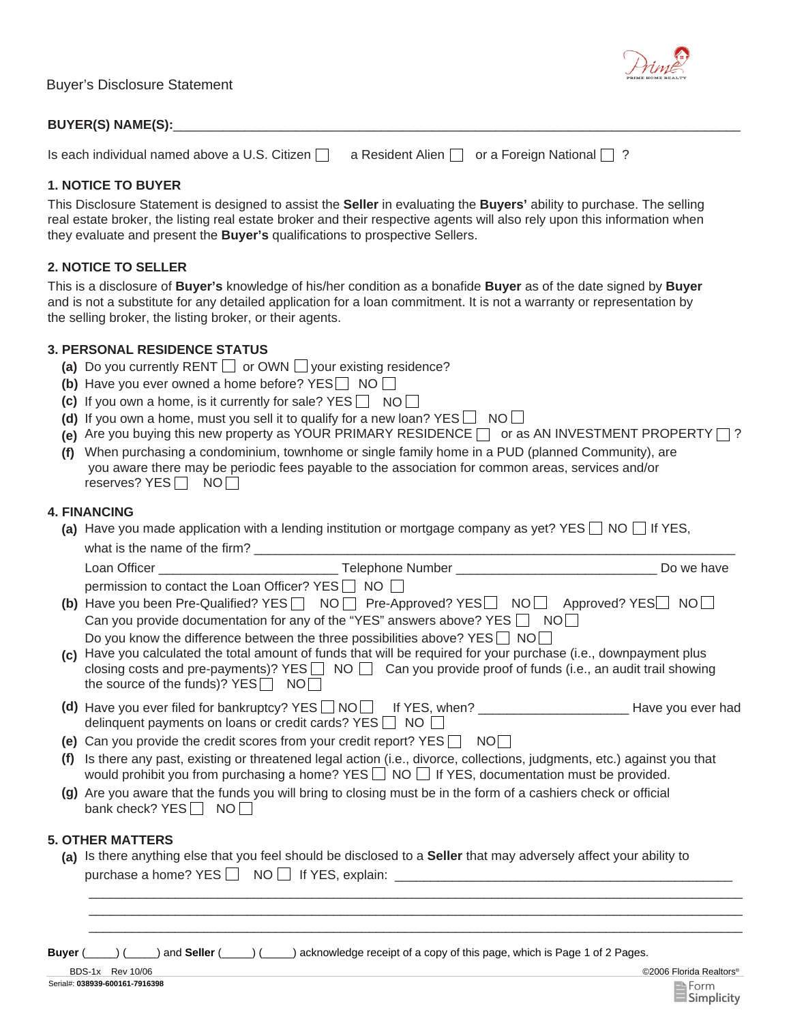| <b>Buyer's Disclosure Statement</b>           |                                                        | $\sim$ $\sim$ $\sim$ $\sim$ $\sim$<br>PRIME HOME REALTY |  |
|-----------------------------------------------|--------------------------------------------------------|---------------------------------------------------------|--|
| <b>BUYER(S) NAME(S):</b>                      |                                                        |                                                         |  |
| Is each individual named above a U.S. Citizen | a Resident Alien $\Box$ or a Foreign National $\Box$ ? |                                                         |  |

#### **1. NOTICE TO BUYER**

This Disclosure Statement is designed to assist the **Seller** in evaluating the **Buyers'** ability to purchase. The selling real estate broker, the listing real estate broker and their respective agents will also rely upon this information when they evaluate and present the **Buyer's** qualifications to prospective Sellers.

### **2. NOTICE TO SELLER**

This is a disclosure of **Buyer's** knowledge of his/her condition as a bonafide **Buyer** as of the date signed by **Buyer** and is not a substitute for any detailed application for a loan commitment. It is not a warranty or representation by the selling broker, the listing broker, or their agents.

## **3. PERSONAL RESIDENCE STATUS**

- (a) Do you currently RENT  $\Box$  or OWN  $\Box$  your existing residence?
- **(b)** Have you ever owned a home before? YES  $\Box$  NO  $\Box$
- **(c)** If you own a home, is it currently for sale?  $YES \n\begin{bmatrix} \n\end{bmatrix} NO \n\begin{bmatrix} \n\end{bmatrix}$
- **(d)** If you own a home, must you sell it to qualify for a new loan?  $YES \Box NO \Box$
- **(e)** Are you buying this new property as YOUR PRIMARY RESIDENCE  $\Box$  or as AN INVESTMENT PROPERTY  $\Box$ ?
- **(f)** When purchasing a condominium, townhome or single family home in a PUD (planned Community), are you aware there may be periodic fees payable to the association for common areas, services and/or reserves? YES NO

## **4. FINANCING**

**(a)** Have you made application with a lending institution or mortgage company as yet? YES  $\Box$  NO  $\Box$  If YES,

|         |                                                                                                                    |                                                                                                                                                                                                                                     | Do we have |
|---------|--------------------------------------------------------------------------------------------------------------------|-------------------------------------------------------------------------------------------------------------------------------------------------------------------------------------------------------------------------------------|------------|
|         | permission to contact the Loan Officer? YES   NO                                                                   |                                                                                                                                                                                                                                     |            |
|         |                                                                                                                    | (b) Have you been Pre-Qualified? YES   NO   Pre-Approved? YES   NO   Approved? YES   NO                                                                                                                                             |            |
|         |                                                                                                                    | Can you provide documentation for any of the "YES" answers above? YES $\Box$ NO $\Box$                                                                                                                                              |            |
|         |                                                                                                                    | Do you know the difference between the three possibilities above? $YES \cap NO \cap$                                                                                                                                                |            |
| (c)     | the source of the funds)? $YES \nightharpoonup NO \nightharpoonup$                                                 | Have you calculated the total amount of funds that will be required for your purchase (i.e., downpayment plus<br>closing costs and pre-payments)? YES $\Box$ NO $\Box$ Can you provide proof of funds (i.e., an audit trail showing |            |
|         | delinquent payments on loans or credit cards? $YES$ NO $\Box$                                                      |                                                                                                                                                                                                                                     |            |
|         |                                                                                                                    | (e) Can you provide the credit scores from your credit report? $YES \Box NO \Box$                                                                                                                                                   |            |
| (f)     |                                                                                                                    | Is there any past, existing or threatened legal action (i.e., divorce, collections, judgments, etc.) against you that<br>would prohibit you from purchasing a home? YES ■ NO ■ If YES, documentation must be provided.              |            |
|         | bank check? YES NO                                                                                                 | (g) Are you aware that the funds you will bring to closing must be in the form of a cashiers check or official                                                                                                                      |            |
|         | <b>5. OTHER MATTERS</b>                                                                                            |                                                                                                                                                                                                                                     |            |
|         | (a) Is there anything else that you feel should be disclosed to a Seller that may adversely affect your ability to |                                                                                                                                                                                                                                     |            |
|         |                                                                                                                    | purchase a home? YES □ NO □ If YES, explain: ___________________________________                                                                                                                                                    |            |
|         |                                                                                                                    |                                                                                                                                                                                                                                     |            |
| Buyer ( |                                                                                                                    | $($ () and Seller $($ $)$ ( $)$ acknowledge receipt of a copy of this page, which is Page 1 of 2 Pages.                                                                                                                             |            |



Drime